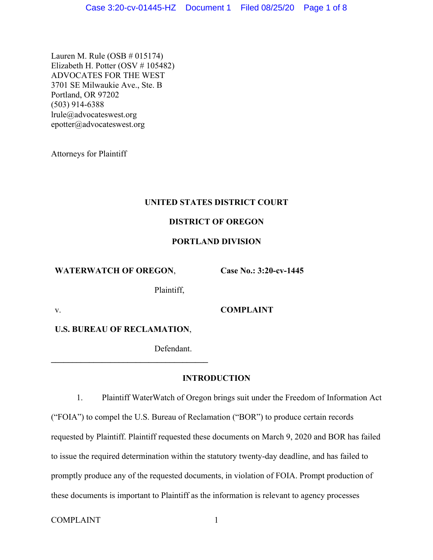Lauren M. Rule (OSB # 015174) Elizabeth H. Potter (OSV # 105482) ADVOCATES FOR THE WEST 3701 SE Milwaukie Ave., Ste. B Portland, OR 97202 (503) 914-6388 lrule@advocateswest.org epotter@advocateswest.org

Attorneys for Plaintiff

# **UNITED STATES DISTRICT COURT**

# **DISTRICT OF OREGON**

# **PORTLAND DIVISION**

**WATERWATCH OF OREGON**,

**Case No.: 3:20-cv-1445**

Plaintiff,

v. **COMPLAINT**

**U.S. BUREAU OF RECLAMATION**,

**\_\_\_\_\_\_\_\_\_\_\_\_\_\_\_\_\_\_\_\_\_\_\_\_\_\_\_\_\_\_\_\_\_\_\_\_\_**

Defendant.

# **INTRODUCTION**

1. Plaintiff WaterWatch of Oregon brings suit under the Freedom of Information Act ("FOIA") to compel the U.S. Bureau of Reclamation ("BOR") to produce certain records requested by Plaintiff. Plaintiff requested these documents on March 9, 2020 and BOR has failed to issue the required determination within the statutory twenty-day deadline, and has failed to promptly produce any of the requested documents, in violation of FOIA. Prompt production of these documents is important to Plaintiff as the information is relevant to agency processes

COMPLAINT 1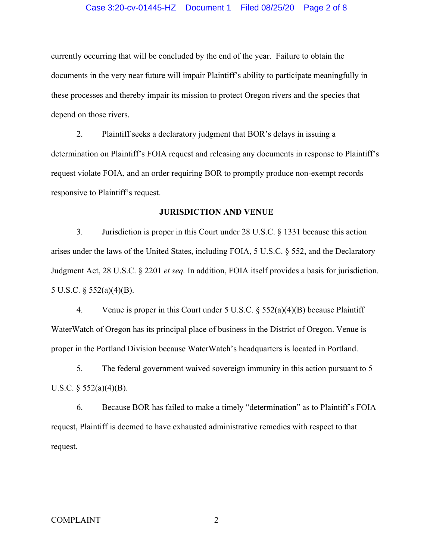#### Case 3:20-cv-01445-HZ Document 1 Filed 08/25/20 Page 2 of 8

currently occurring that will be concluded by the end of the year. Failure to obtain the documents in the very near future will impair Plaintiff's ability to participate meaningfully in these processes and thereby impair its mission to protect Oregon rivers and the species that depend on those rivers.

2. Plaintiff seeks a declaratory judgment that BOR's delays in issuing a determination on Plaintiff's FOIA request and releasing any documents in response to Plaintiff's request violate FOIA, and an order requiring BOR to promptly produce non-exempt records responsive to Plaintiff's request.

### **JURISDICTION AND VENUE**

3. Jurisdiction is proper in this Court under 28 U.S.C. § 1331 because this action arises under the laws of the United States, including FOIA, 5 U.S.C. § 552, and the Declaratory Judgment Act, 28 U.S.C. § 2201 *et seq.* In addition, FOIA itself provides a basis for jurisdiction. 5 U.S.C. § 552(a)(4)(B).

4. Venue is proper in this Court under 5 U.S.C.  $\S$  552(a)(4)(B) because Plaintiff WaterWatch of Oregon has its principal place of business in the District of Oregon. Venue is proper in the Portland Division because WaterWatch's headquarters is located in Portland.

5. The federal government waived sovereign immunity in this action pursuant to 5 U.S.C.  $\S$  552(a)(4)(B).

6. Because BOR has failed to make a timely "determination" as to Plaintiff's FOIA request, Plaintiff is deemed to have exhausted administrative remedies with respect to that request.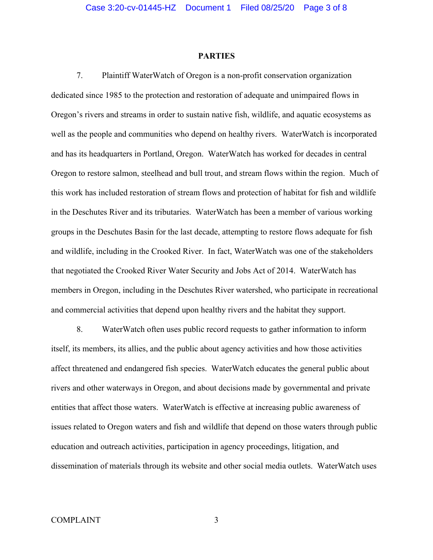#### **PARTIES**

7. Plaintiff WaterWatch of Oregon is a non-profit conservation organization dedicated since 1985 to the protection and restoration of adequate and unimpaired flows in Oregon's rivers and streams in order to sustain native fish, wildlife, and aquatic ecosystems as well as the people and communities who depend on healthy rivers. WaterWatch is incorporated and has its headquarters in Portland, Oregon. WaterWatch has worked for decades in central Oregon to restore salmon, steelhead and bull trout, and stream flows within the region. Much of this work has included restoration of stream flows and protection of habitat for fish and wildlife in the Deschutes River and its tributaries. WaterWatch has been a member of various working groups in the Deschutes Basin for the last decade, attempting to restore flows adequate for fish and wildlife, including in the Crooked River. In fact, WaterWatch was one of the stakeholders that negotiated the Crooked River Water Security and Jobs Act of 2014. WaterWatch has members in Oregon, including in the Deschutes River watershed, who participate in recreational and commercial activities that depend upon healthy rivers and the habitat they support.

8. WaterWatch often uses public record requests to gather information to inform itself, its members, its allies, and the public about agency activities and how those activities affect threatened and endangered fish species. WaterWatch educates the general public about rivers and other waterways in Oregon, and about decisions made by governmental and private entities that affect those waters. WaterWatch is effective at increasing public awareness of issues related to Oregon waters and fish and wildlife that depend on those waters through public education and outreach activities, participation in agency proceedings, litigation, and dissemination of materials through its website and other social media outlets. WaterWatch uses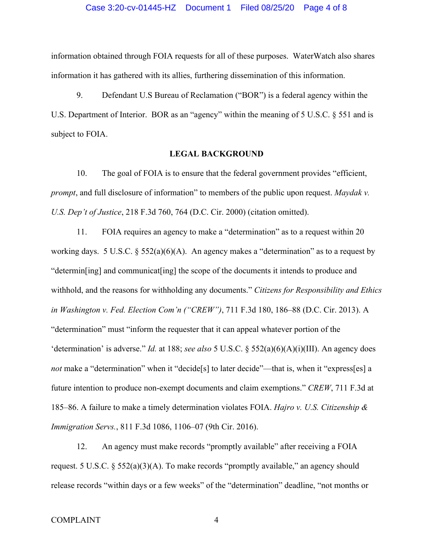information obtained through FOIA requests for all of these purposes. WaterWatch also shares information it has gathered with its allies, furthering dissemination of this information.

9. Defendant U.S Bureau of Reclamation ("BOR") is a federal agency within the U.S. Department of Interior. BOR as an "agency" within the meaning of 5 U.S.C. § 551 and is subject to FOIA.

## **LEGAL BACKGROUND**

10. The goal of FOIA is to ensure that the federal government provides "efficient, *prompt*, and full disclosure of information" to members of the public upon request. *Maydak v. U.S. Dep't of Justice*, 218 F.3d 760, 764 (D.C. Cir. 2000) (citation omitted).

11. FOIA requires an agency to make a "determination" as to a request within 20 working days. 5 U.S.C.  $\S 552(a)(6)(A)$ . An agency makes a "determination" as to a request by "determin[ing] and communicat[ing] the scope of the documents it intends to produce and withhold, and the reasons for withholding any documents." *Citizens for Responsibility and Ethics in Washington v. Fed. Election Com'n ("CREW")*, 711 F.3d 180, 186–88 (D.C. Cir. 2013). A "determination" must "inform the requester that it can appeal whatever portion of the 'determination' is adverse." *Id.* at 188; *see also* 5 U.S.C. § 552(a)(6)(A)(i)(III). An agency does *not* make a "determination" when it "decide<sup>[5]</sup> to later decide"—that is, when it "express[es] a future intention to produce non-exempt documents and claim exemptions." *CREW*, 711 F.3d at 185–86. A failure to make a timely determination violates FOIA. *Hajro v. U.S. Citizenship & Immigration Servs.*, 811 F.3d 1086, 1106–07 (9th Cir. 2016).

12. An agency must make records "promptly available" after receiving a FOIA request. 5 U.S.C.  $\S 552(a)(3)(A)$ . To make records "promptly available," an agency should release records "within days or a few weeks" of the "determination" deadline, "not months or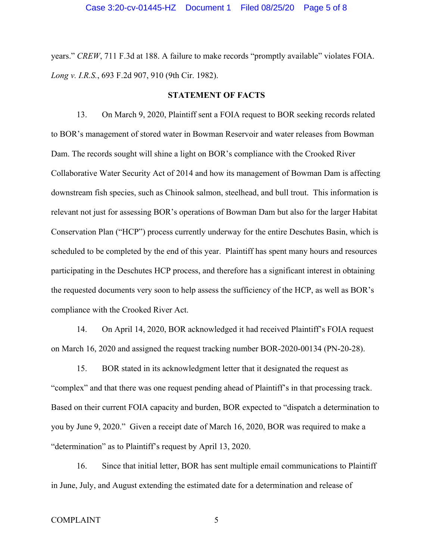years." *CREW*, 711 F.3d at 188. A failure to make records "promptly available" violates FOIA. *Long v. I.R.S.*, 693 F.2d 907, 910 (9th Cir. 1982).

#### **STATEMENT OF FACTS**

13. On March 9, 2020, Plaintiff sent a FOIA request to BOR seeking records related to BOR's management of stored water in Bowman Reservoir and water releases from Bowman Dam. The records sought will shine a light on BOR's compliance with the Crooked River Collaborative Water Security Act of 2014 and how its management of Bowman Dam is affecting downstream fish species, such as Chinook salmon, steelhead, and bull trout. This information is relevant not just for assessing BOR's operations of Bowman Dam but also for the larger Habitat Conservation Plan ("HCP") process currently underway for the entire Deschutes Basin, which is scheduled to be completed by the end of this year. Plaintiff has spent many hours and resources participating in the Deschutes HCP process, and therefore has a significant interest in obtaining the requested documents very soon to help assess the sufficiency of the HCP, as well as BOR's compliance with the Crooked River Act.

14. On April 14, 2020, BOR acknowledged it had received Plaintiff's FOIA request on March 16, 2020 and assigned the request tracking number BOR-2020-00134 (PN-20-28).

15. BOR stated in its acknowledgment letter that it designated the request as "complex" and that there was one request pending ahead of Plaintiff's in that processing track. Based on their current FOIA capacity and burden, BOR expected to "dispatch a determination to you by June 9, 2020." Given a receipt date of March 16, 2020, BOR was required to make a "determination" as to Plaintiff's request by April 13, 2020.

16. Since that initial letter, BOR has sent multiple email communications to Plaintiff in June, July, and August extending the estimated date for a determination and release of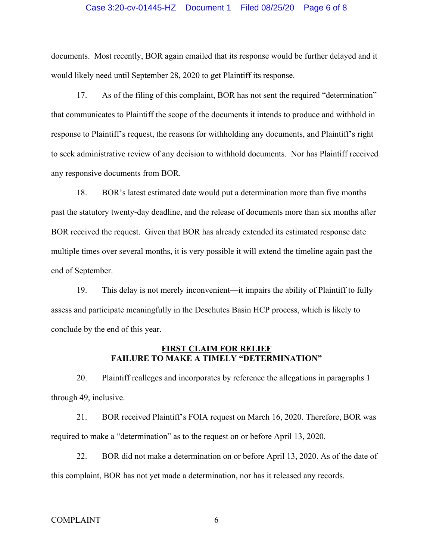### Case 3:20-cv-01445-HZ Document 1 Filed 08/25/20 Page 6 of 8

documents. Most recently, BOR again emailed that its response would be further delayed and it would likely need until September 28, 2020 to get Plaintiff its response.

17. As of the filing of this complaint, BOR has not sent the required "determination" that communicates to Plaintiff the scope of the documents it intends to produce and withhold in response to Plaintiff's request, the reasons for withholding any documents, and Plaintiff's right to seek administrative review of any decision to withhold documents. Nor has Plaintiff received any responsive documents from BOR.

18. BOR's latest estimated date would put a determination more than five months past the statutory twenty-day deadline, and the release of documents more than six months after BOR received the request. Given that BOR has already extended its estimated response date multiple times over several months, it is very possible it will extend the timeline again past the end of September.

19. This delay is not merely inconvenient—it impairs the ability of Plaintiff to fully assess and participate meaningfully in the Deschutes Basin HCP process, which is likely to conclude by the end of this year.

### **FIRST CLAIM FOR RELIEF FAILURE TO MAKE A TIMELY "DETERMINATION"**

20. Plaintiff realleges and incorporates by reference the allegations in paragraphs 1 through 49, inclusive.

21. BOR received Plaintiff's FOIA request on March 16, 2020. Therefore, BOR was required to make a "determination" as to the request on or before April 13, 2020.

22. BOR did not make a determination on or before April 13, 2020. As of the date of this complaint, BOR has not yet made a determination, nor has it released any records.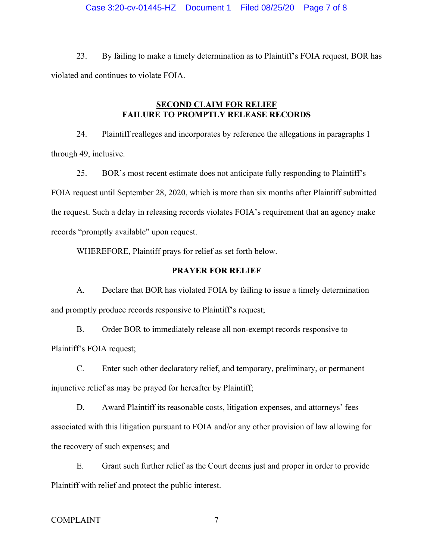23. By failing to make a timely determination as to Plaintiff's FOIA request, BOR has violated and continues to violate FOIA.

## **SECOND CLAIM FOR RELIEF FAILURE TO PROMPTLY RELEASE RECORDS**

24. Plaintiff realleges and incorporates by reference the allegations in paragraphs 1 through 49, inclusive.

25. BOR's most recent estimate does not anticipate fully responding to Plaintiff's FOIA request until September 28, 2020, which is more than six months after Plaintiff submitted the request. Such a delay in releasing records violates FOIA's requirement that an agency make records "promptly available" upon request.

WHEREFORE, Plaintiff prays for relief as set forth below.

### **PRAYER FOR RELIEF**

A. Declare that BOR has violated FOIA by failing to issue a timely determination and promptly produce records responsive to Plaintiff's request;

B. Order BOR to immediately release all non-exempt records responsive to Plaintiff's FOIA request;

C. Enter such other declaratory relief, and temporary, preliminary, or permanent injunctive relief as may be prayed for hereafter by Plaintiff;

D. Award Plaintiff its reasonable costs, litigation expenses, and attorneys' fees associated with this litigation pursuant to FOIA and/or any other provision of law allowing for the recovery of such expenses; and

E. Grant such further relief as the Court deems just and proper in order to provide Plaintiff with relief and protect the public interest.

### COMPLAINT 7